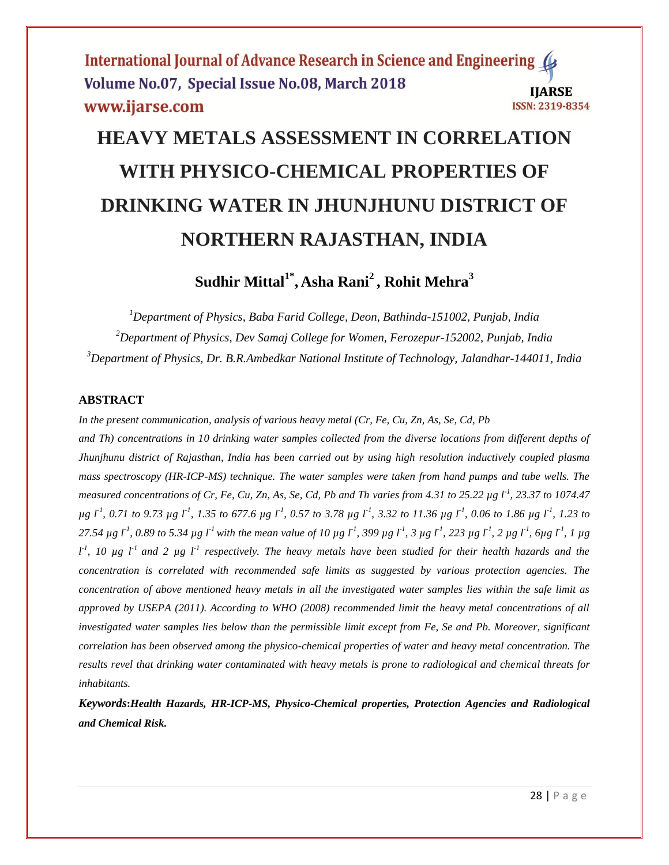# **HEAVY METALS ASSESSMENT IN CORRELATION WITH PHYSICO-CHEMICAL PROPERTIES OF DRINKING WATER IN JHUNJHUNU DISTRICT OF NORTHERN RAJASTHAN, INDIA**

**Sudhir Mittal1\* , Asha Rani<sup>2</sup> , Rohit Mehra<sup>3</sup>**

*<sup>1</sup>Department of Physics, Baba Farid College, Deon, Bathinda-151002, Punjab, India <sup>2</sup>Department of Physics, Dev Samaj College for Women, Ferozepur-152002, Punjab, India <sup>3</sup>Department of Physics, Dr. B.R.Ambedkar National Institute of Technology, Jalandhar-144011, India*

#### **ABSTRACT**

*In the present communication, analysis of various heavy metal (Cr, Fe, Cu, Zn, As, Se, Cd, Pb and Th) concentrations in 10 drinking water samples collected from the diverse locations from different depths of Jhunjhunu district of Rajasthan, India has been carried out by using high resolution inductively coupled plasma mass spectroscopy (HR-ICP-MS) technique. The water samples were taken from hand pumps and tube wells. The measured concentrations of Cr, Fe, Cu, Zn, As, Se, Cd, Pb and Th varies from 4.31 to 25.22 µg l-1 , 23.37 to 1074.47 µg l-1 , 0.71 to 9.73 µg l-1 , 1.35 to 677.6 µg l-1 , 0.57 to 3.78 µg l-1 , 3.32 to 11.36 µg l-1 , 0.06 to 1.86 µg l-1 , 1.23 to*  27.54 µg  $I^1$ , 0.89 to 5.34 µg  $I^1$  with the mean value of 10 µg  $I^1$ , 399 µg  $I^1$ , 3 µg  $I^1$ , 223 µg  $I^1$ , 2 µg  $I^1$ , 6µg  $I^1$ , 1 µg  $l^1$ , 10  $\mu$ g  $l^1$  and 2  $\mu$ g  $l^1$  respectively. The heavy metals have been studied for their health hazards and the *concentration is correlated with recommended safe limits as suggested by various protection agencies. The concentration of above mentioned heavy metals in all the investigated water samples lies within the safe limit as approved by USEPA (2011). According to WHO (2008) recommended limit the heavy metal concentrations of all investigated water samples lies below than the permissible limit except from Fe, Se and Pb. Moreover, significant correlation has been observed among the physico-chemical properties of water and heavy metal concentration. The results revel that drinking water contaminated with heavy metals is prone to radiological and chemical threats for inhabitants.*

*Keywords***:***Health Hazards, HR-ICP-MS, Physico-Chemical properties, Protection Agencies and Radiological and Chemical Risk.*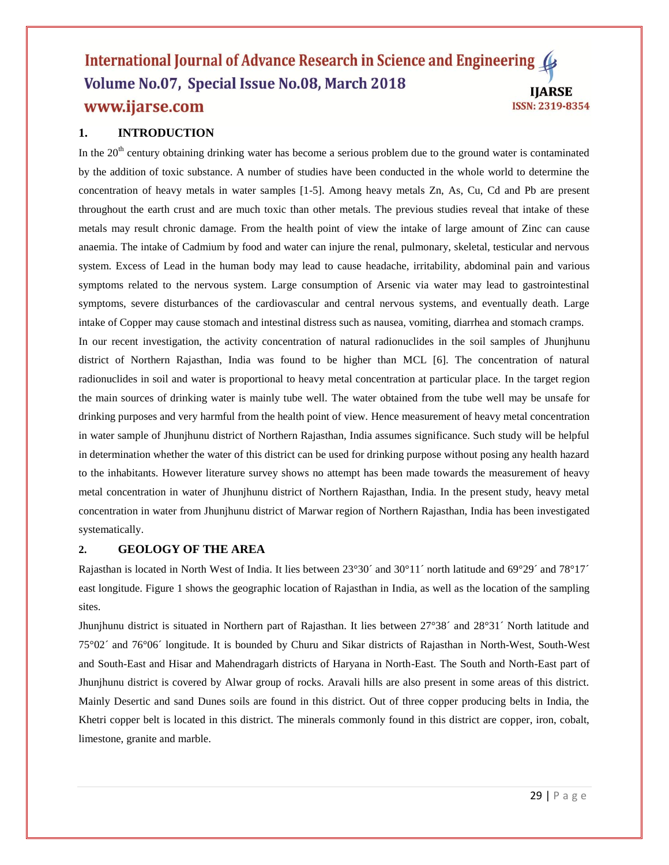### **1. INTRODUCTION**

In the  $20<sup>th</sup>$  century obtaining drinking water has become a serious problem due to the ground water is contaminated by the addition of toxic substance. A number of studies have been conducted in the whole world to determine the concentration of heavy metals in water samples [1-5]. Among heavy metals Zn, As, Cu, Cd and Pb are present throughout the earth crust and are much toxic than other metals. The previous studies reveal that intake of these metals may result chronic damage. From the health point of view the intake of large amount of Zinc can cause anaemia. The intake of Cadmium by food and water can injure the renal, pulmonary, skeletal, testicular and nervous system. Excess of Lead in the human body may lead to cause headache, irritability, abdominal pain and various symptoms related to the nervous system. Large consumption of Arsenic via water may lead to gastrointestinal symptoms, severe disturbances of the cardiovascular and central nervous systems, and eventually death. Large intake of Copper may cause stomach and intestinal distress such as nausea, vomiting, diarrhea and stomach cramps. In our recent investigation, the activity concentration of natural radionuclides in the soil samples of Jhunjhunu district of Northern Rajasthan, India was found to be higher than MCL [6]. The concentration of natural radionuclides in soil and water is proportional to heavy metal concentration at particular place. In the target region the main sources of drinking water is mainly tube well. The water obtained from the tube well may be unsafe for drinking purposes and very harmful from the health point of view. Hence measurement of heavy metal concentration in water sample of Jhunjhunu district of Northern Rajasthan, India assumes significance. Such study will be helpful in determination whether the water of this district can be used for drinking purpose without posing any health hazard to the inhabitants. However literature survey shows no attempt has been made towards the measurement of heavy metal concentration in water of Jhunjhunu district of Northern Rajasthan, India. In the present study, heavy metal concentration in water from Jhunjhunu district of Marwar region of Northern Rajasthan, India has been investigated systematically.

#### **2. GEOLOGY OF THE AREA**

Rajasthan is located in North West of India. It lies between  $23^{\circ}30'$  and  $30^{\circ}11'$  north latitude and  $69^{\circ}29'$  and  $78^{\circ}17'$ east longitude. Figure 1 shows the geographic location of Rajasthan in India, as well as the location of the sampling sites.

Jhunjhunu district is situated in Northern part of Rajasthan. It lies between 27°38´ and 28°31´ North latitude and 75°02´ and 76°06´ longitude. It is bounded by Churu and Sikar districts of Rajasthan in North-West, South-West and South-East and Hisar and Mahendragarh districts of Haryana in North-East. The South and North-East part of Jhunjhunu district is covered by Alwar group of rocks. Aravali hills are also present in some areas of this district. Mainly Desertic and sand Dunes soils are found in this district. Out of three copper producing belts in India, the Khetri copper belt is located in this district. The minerals commonly found in this district are copper, iron, cobalt, limestone, granite and marble.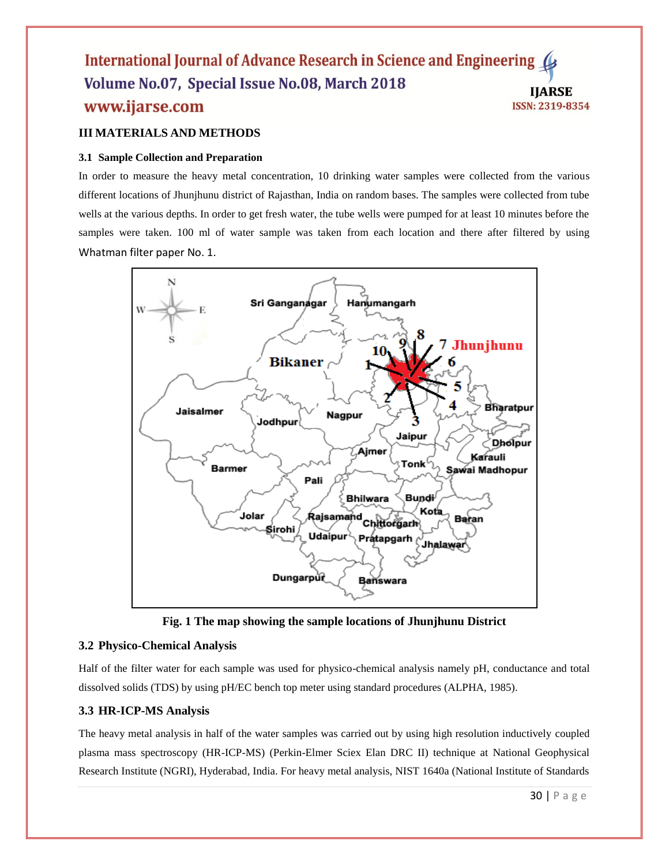#### **III MATERIALS AND METHODS**

#### **3.1 Sample Collection and Preparation**

In order to measure the heavy metal concentration, 10 drinking water samples were collected from the various different locations of Jhunjhunu district of Rajasthan, India on random bases. The samples were collected from tube wells at the various depths. In order to get fresh water, the tube wells were pumped for at least 10 minutes before the samples were taken. 100 ml of water sample was taken from each location and there after filtered by using Whatman filter paper No. 1.



**Fig. 1 The map showing the sample locations of Jhunjhunu District**

#### **3.2 Physico-Chemical Analysis**

Half of the filter water for each sample was used for physico-chemical analysis namely pH, conductance and total dissolved solids (TDS) by using pH/EC bench top meter using standard procedures (ALPHA, 1985).

#### **3.3 HR-ICP-MS Analysis**

The heavy metal analysis in half of the water samples was carried out by using high resolution inductively coupled plasma mass spectroscopy (HR-ICP-MS) (Perkin-Elmer Sciex Elan DRC II) technique at National Geophysical Research Institute (NGRI), Hyderabad, India. For heavy metal analysis, NIST 1640a (National Institute of Standards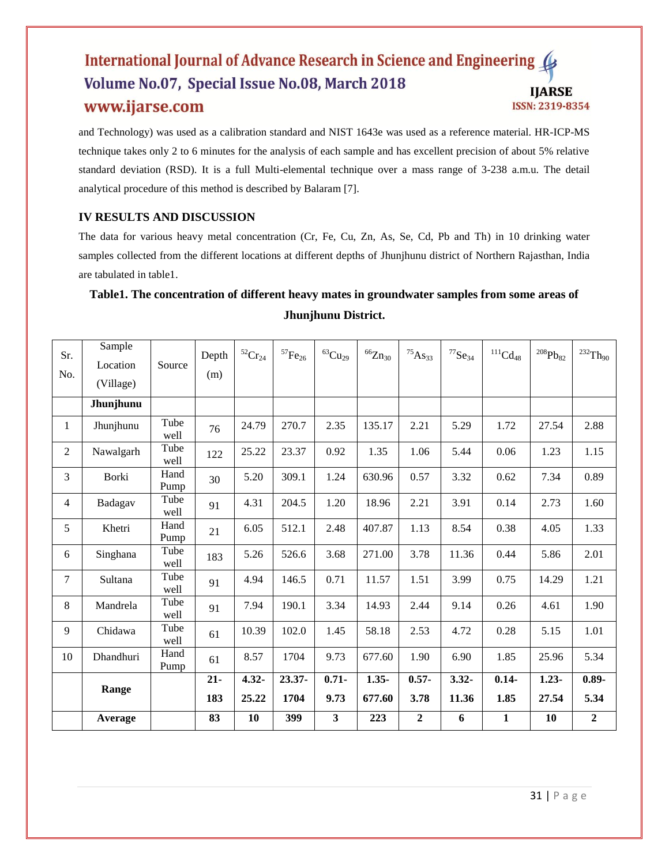and Technology) was used as a calibration standard and NIST 1643e was used as a reference material. HR-ICP-MS technique takes only 2 to 6 minutes for the analysis of each sample and has excellent precision of about 5% relative standard deviation (RSD). It is a full Multi-elemental technique over a mass range of 3-238 a.m.u. The detail analytical procedure of this method is described by Balaram [7].

## **IV RESULTS AND DISCUSSION**

The data for various heavy metal concentration (Cr, Fe, Cu, Zn, As, Se, Cd, Pb and Th) in 10 drinking water samples collected from the different locations at different depths of Jhunjhunu district of Northern Rajasthan, India are tabulated in table1.

## **Table1. The concentration of different heavy mates in groundwater samples from some areas of Jhunjhunu District.**

| Sr.            | Sample    |              | Depth  | $^{52}\mathrm{Cr}_{24}$ | $^{57}\mathrm{Fe}_{26}$ | $^{63}\mathrm{Cu}_{29}$ | ${}^{66}Zn_{30}$ | $^{75}$ As <sub>33</sub> | $^{77}Se_{34}$ | $\mathrm{^{111}Cd_{48}}$ | $^{208}\mathrm{Pb}_{82}$ | $^{232}\mathrm{Th}_{90}$ |
|----------------|-----------|--------------|--------|-------------------------|-------------------------|-------------------------|------------------|--------------------------|----------------|--------------------------|--------------------------|--------------------------|
| No.            | Location  | Source       | (m)    |                         |                         |                         |                  |                          |                |                          |                          |                          |
|                | (Village) |              |        |                         |                         |                         |                  |                          |                |                          |                          |                          |
|                | Jhunjhunu |              |        |                         |                         |                         |                  |                          |                |                          |                          |                          |
| $\mathbf{1}$   | Jhunjhunu | Tube<br>well | 76     | 24.79                   | 270.7                   | 2.35                    | 135.17           | 2.21                     | 5.29           | 1.72                     | 27.54                    | 2.88                     |
| $\overline{c}$ | Nawalgarh | Tube<br>well | 122    | 25.22                   | 23.37                   | 0.92                    | 1.35             | 1.06                     | 5.44           | 0.06                     | 1.23                     | 1.15                     |
| 3              | Borki     | Hand<br>Pump | 30     | 5.20                    | 309.1                   | 1.24                    | 630.96           | 0.57                     | 3.32           | 0.62                     | 7.34                     | 0.89                     |
| 4              | Badagav   | Tube<br>well | 91     | 4.31                    | 204.5                   | 1.20                    | 18.96            | 2.21                     | 3.91           | 0.14                     | 2.73                     | 1.60                     |
| 5              | Khetri    | Hand<br>Pump | 21     | 6.05                    | 512.1                   | 2.48                    | 407.87           | 1.13                     | 8.54           | 0.38                     | 4.05                     | 1.33                     |
| 6              | Singhana  | Tube<br>well | 183    | 5.26                    | 526.6                   | 3.68                    | 271.00           | 3.78                     | 11.36          | 0.44                     | 5.86                     | 2.01                     |
| 7              | Sultana   | Tube<br>well | 91     | 4.94                    | 146.5                   | 0.71                    | 11.57            | 1.51                     | 3.99           | 0.75                     | 14.29                    | 1.21                     |
| 8              | Mandrela  | Tube<br>well | 91     | 7.94                    | 190.1                   | 3.34                    | 14.93            | 2.44                     | 9.14           | 0.26                     | 4.61                     | 1.90                     |
| 9              | Chidawa   | Tube<br>well | 61     | 10.39                   | 102.0                   | 1.45                    | 58.18            | 2.53                     | 4.72           | 0.28                     | 5.15                     | 1.01                     |
| 10             | Dhandhuri | Hand<br>Pump | 61     | 8.57                    | 1704                    | 9.73                    | 677.60           | 1.90                     | 6.90           | 1.85                     | 25.96                    | 5.34                     |
|                |           |              | $21 -$ | $4.32 -$                | $23.37 -$               | $0.71 -$                | $1.35 -$         | $0.57 -$                 | $3.32 -$       | $0.14 -$                 | $1.23 -$                 | $0.89 -$                 |
|                | Range     |              | 183    | 25.22                   | 1704                    | 9.73                    | 677.60           | 3.78                     | 11.36          | 1.85                     | 27.54                    | 5.34                     |
|                | Average   |              | 83     | 10                      | 399                     | 3                       | 223              | $\boldsymbol{2}$         | 6              | $\mathbf{1}$             | 10                       | $\boldsymbol{2}$         |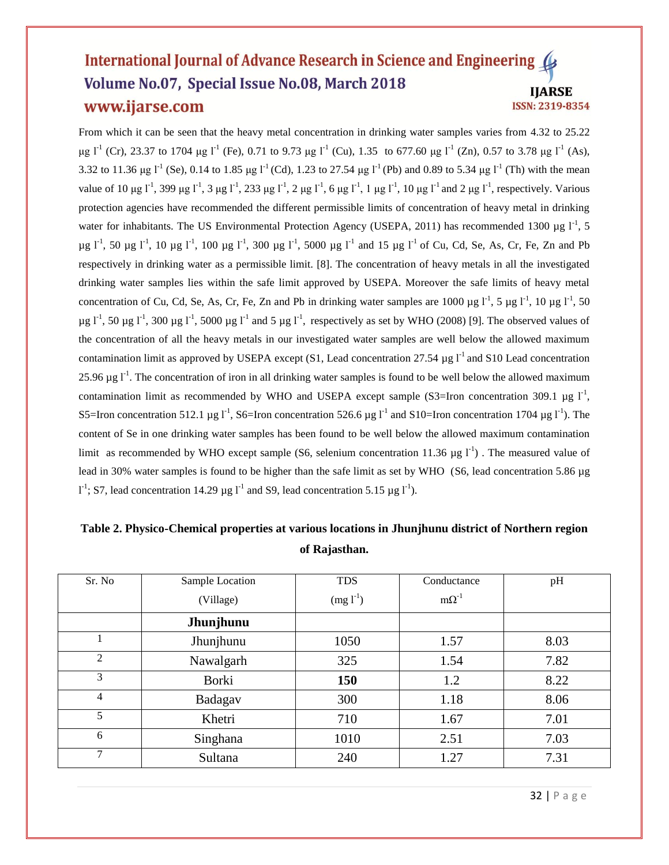From which it can be seen that the heavy metal concentration in drinking water samples varies from 4.32 to 25.22 μg  $l^{-1}$  (Cr), 23.37 to 1704 μg  $l^{-1}$  (Fe), 0.71 to 9.73 μg  $l^{-1}$  (Cu), 1.35 to 677.60 μg  $l^{-1}$  (Zn), 0.57 to 3.78 μg  $l^{-1}$  (As), 3.32 to 11.36 μg l<sup>-1</sup> (Se), 0.14 to 1.85 μg l<sup>-1</sup> (Cd), 1.23 to 27.54 μg l<sup>-1</sup> (Pb) and 0.89 to 5.34 μg l<sup>-1</sup> (Th) with the mean value of 10  $\mu$ g l<sup>-1</sup>, 399  $\mu$ g l<sup>-1</sup>, 3  $\mu$ g l<sup>-1</sup>, 233  $\mu$ g l<sup>-1</sup>, 2  $\mu$ g l<sup>-1</sup>, 6  $\mu$ g l<sup>-1</sup>, 1  $\mu$ g l<sup>-1</sup>, 10  $\mu$ g l<sup>-1</sup> and 2  $\mu$ g l<sup>-1</sup>, respectively. Various protection agencies have recommended the different permissible limits of concentration of heavy metal in drinking water for inhabitants. The US Environmental Protection Agency (USEPA, 2011) has recommended 1300 µg  $1^1$ , 5  $\mu$ g l<sup>-1</sup>, 50  $\mu$ g l<sup>-1</sup>, 10  $\mu$ g l<sup>-1</sup>, 100  $\mu$ g l<sup>-1</sup>, 300  $\mu$ g l<sup>-1</sup>, 5000  $\mu$ g l<sup>-1</sup> and 15  $\mu$ g l<sup>-1</sup> of Cu, Cd, Se, As, Cr, Fe, Zn and Pb respectively in drinking water as a permissible limit. [8]. The concentration of heavy metals in all the investigated drinking water samples lies within the safe limit approved by USEPA. Moreover the safe limits of heavy metal concentration of Cu, Cd, Se, As, Cr, Fe, Zn and Pb in drinking water samples are 1000  $\mu$ g l<sup>-1</sup>, 5  $\mu$ g l<sup>-1</sup>, 10  $\mu$ g l<sup>-1</sup>, 50  $\mu$ g l<sup>-1</sup>, 50  $\mu$ g l<sup>-1</sup>, 300  $\mu$ g l<sup>-1</sup>, 5000  $\mu$ g l<sup>-1</sup> and 5  $\mu$ g l<sup>-1</sup>, respectively as set by WHO (2008) [9]. The observed values of the concentration of all the heavy metals in our investigated water samples are well below the allowed maximum contamination limit as approved by USEPA except (S1, Lead concentration 27.54  $\mu$ g l<sup>-1</sup> and S10 Lead concentration 25.96  $\mu$ g l<sup>-1</sup>. The concentration of iron in all drinking water samples is found to be well below the allowed maximum contamination limit as recommended by WHO and USEPA except sample (S3=Iron concentration 309.1  $\mu$ g l<sup>-1</sup>, S5=Iron concentration 512.1 µg  $I^1$ , S6=Iron concentration 526.6 µg  $I^1$  and S10=Iron concentration 1704 µg  $I^1$ ). The content of Se in one drinking water samples has been found to be well below the allowed maximum contamination limit as recommended by WHO except sample (S6, selenium concentration 11.36  $\mu$ g l<sup>-1</sup>). The measured value of lead in 30% water samples is found to be higher than the safe limit as set by WHO (S6, lead concentration 5.86 µg  $I^1$ ; S7, lead concentration 14.29 µg  $I^1$  and S9, lead concentration 5.15 µg  $I^1$ ).

| Sr. No | Sample Location | <b>TDS</b> | Conductance    | pH   |
|--------|-----------------|------------|----------------|------|
|        | (Village)       | $(mg l-1)$ | $m\Omega^{-1}$ |      |
|        | Jhunjhunu       |            |                |      |
|        | Jhunjhunu       | 1050       | 1.57           | 8.03 |
| 2      | Nawalgarh       | 325        | 1.54           | 7.82 |
| 3      | Borki           | 150        | 1.2            | 8.22 |
| 4      | Badagav         | 300        | 1.18           | 8.06 |
| 5      | Khetri          | 710        | 1.67           | 7.01 |
| 6      | Singhana        | 1010       | 2.51           | 7.03 |
| 7      | Sultana         | 240        | 1.27           | 7.31 |

# **Table 2. Physico-Chemical properties at various locations in Jhunjhunu district of Northern region of Rajasthan.**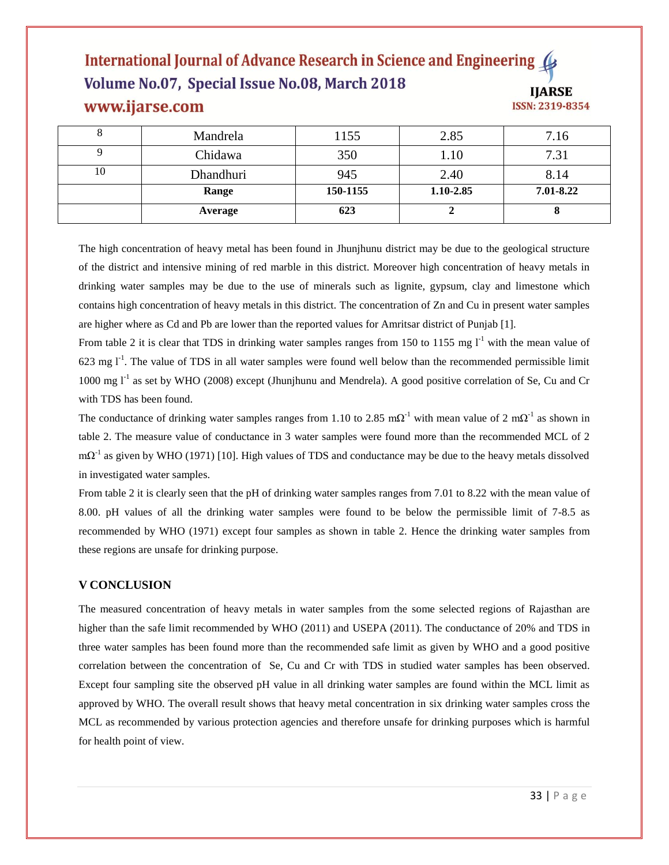| $\circ$ | Mandrela  | 1155     | 2.85      | 7.16      |
|---------|-----------|----------|-----------|-----------|
|         | Chidawa   | 350      | .10       | 7.31      |
| 10      | Dhandhuri | 945      | 2.40      | 8.14      |
|         | Range     | 150-1155 | 1.10-2.85 | 7.01-8.22 |
|         | Average   | 623      |           |           |

The high concentration of heavy metal has been found in Jhunjhunu district may be due to the geological structure of the district and intensive mining of red marble in this district. Moreover high concentration of heavy metals in drinking water samples may be due to the use of minerals such as lignite, gypsum, clay and limestone which contains high concentration of heavy metals in this district. The concentration of Zn and Cu in present water samples are higher where as Cd and Pb are lower than the reported values for Amritsar district of Punjab [1].

From table 2 it is clear that TDS in drinking water samples ranges from 150 to 1155 mg  $I<sup>-1</sup>$  with the mean value of 623 mg  $I<sup>-1</sup>$ . The value of TDS in all water samples were found well below than the recommended permissible limit 1000 mg  $1^{-1}$  as set by WHO (2008) except (Jhunjhunu and Mendrela). A good positive correlation of Se, Cu and Cr with TDS has been found.

The conductance of drinking water samples ranges from 1.10 to 2.85 m $\Omega^{-1}$  with mean value of 2 m $\Omega^{-1}$  as shown in table 2. The measure value of conductance in 3 water samples were found more than the recommended MCL of 2  $m\Omega^{-1}$  as given by WHO (1971) [10]. High values of TDS and conductance may be due to the heavy metals dissolved in investigated water samples.

From table 2 it is clearly seen that the pH of drinking water samples ranges from 7.01 to 8.22 with the mean value of 8.00. pH values of all the drinking water samples were found to be below the permissible limit of 7-8.5 as recommended by WHO (1971) except four samples as shown in table 2. Hence the drinking water samples from these regions are unsafe for drinking purpose.

#### **V CONCLUSION**

The measured concentration of heavy metals in water samples from the some selected regions of Rajasthan are higher than the safe limit recommended by WHO (2011) and USEPA (2011). The conductance of 20% and TDS in three water samples has been found more than the recommended safe limit as given by WHO and a good positive correlation between the concentration of Se, Cu and Cr with TDS in studied water samples has been observed. Except four sampling site the observed pH value in all drinking water samples are found within the MCL limit as approved by WHO. The overall result shows that heavy metal concentration in six drinking water samples cross the MCL as recommended by various protection agencies and therefore unsafe for drinking purposes which is harmful for health point of view.